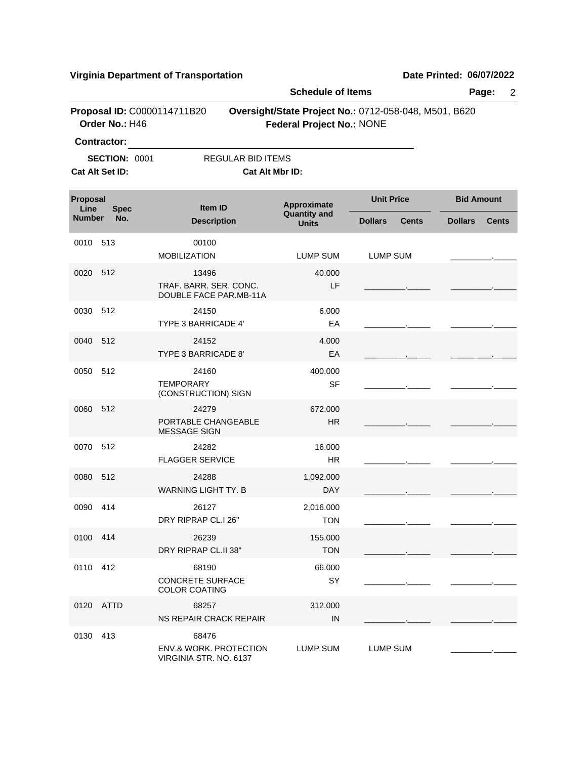**Virginia Department of Transportation Date Printed:** 06/07/2022

|                                                         | Page:<br>$\overline{2}$       |                                                                      |                                                    |                                                       |                                |  |  |  |
|---------------------------------------------------------|-------------------------------|----------------------------------------------------------------------|----------------------------------------------------|-------------------------------------------------------|--------------------------------|--|--|--|
|                                                         | Order No.: H46<br>Contractor: | Proposal ID: C0000114711B20                                          | <b>Federal Project No.: NONE</b>                   | Oversight/State Project No.: 0712-058-048, M501, B620 |                                |  |  |  |
|                                                         | <b>SECTION: 0001</b>          | <b>REGULAR BID ITEMS</b>                                             |                                                    |                                                       |                                |  |  |  |
| Cat Alt Set ID:<br>Cat Alt Mbr ID:                      |                               |                                                                      |                                                    |                                                       |                                |  |  |  |
| Proposal<br>Line<br><b>Spec</b><br><b>Number</b><br>No. |                               | <b>Item ID</b>                                                       | Approximate<br><b>Quantity and</b><br><b>Units</b> | <b>Unit Price</b>                                     | <b>Bid Amount</b>              |  |  |  |
|                                                         |                               | <b>Description</b>                                                   |                                                    | <b>Dollars</b><br><b>Cents</b>                        | <b>Dollars</b><br><b>Cents</b> |  |  |  |
| 0010                                                    | 513                           | 00100<br><b>MOBILIZATION</b>                                         | <b>LUMP SUM</b>                                    | <b>LUMP SUM</b>                                       |                                |  |  |  |
| 0020                                                    | 512                           | 13496<br>TRAF. BARR. SER. CONC.<br>DOUBLE FACE PAR.MB-11A            | 40.000<br>LF                                       |                                                       |                                |  |  |  |
| 0030                                                    | 512                           | 24150<br>TYPE 3 BARRICADE 4'                                         | 6.000<br>EA                                        |                                                       |                                |  |  |  |
| 0040                                                    | 512                           | 24152<br>TYPE 3 BARRICADE 8'                                         | 4.000<br>EA                                        |                                                       |                                |  |  |  |
| 0050                                                    | 512                           | 24160<br><b>TEMPORARY</b><br>(CONSTRUCTION) SIGN                     | 400.000<br><b>SF</b>                               |                                                       |                                |  |  |  |
| 0060                                                    | 512                           | 24279<br>PORTABLE CHANGEABLE<br><b>MESSAGE SIGN</b>                  | 672.000<br><b>HR</b>                               |                                                       |                                |  |  |  |
| 0070                                                    | 512                           | 24282<br><b>FLAGGER SERVICE</b>                                      | 16.000<br><b>HR</b>                                |                                                       |                                |  |  |  |
| 0080                                                    | 512                           | 24288<br><b>WARNING LIGHT TY. B</b>                                  | 1,092.000<br><b>DAY</b>                            |                                                       |                                |  |  |  |
| 0090                                                    | 414                           | 26127<br>DRY RIPRAP CL.I 26"                                         | 2,016.000<br>TON                                   |                                                       |                                |  |  |  |
| 0100 414                                                |                               | 26239<br>DRY RIPRAP CL.II 38"                                        | 155.000<br><b>TON</b>                              |                                                       |                                |  |  |  |
| 0110 412                                                |                               | 68190<br><b>CONCRETE SURFACE</b><br><b>COLOR COATING</b>             | 66.000<br>SY                                       |                                                       |                                |  |  |  |
|                                                         | 0120 ATTD                     | 68257<br>NS REPAIR CRACK REPAIR                                      | 312.000<br>IN                                      |                                                       |                                |  |  |  |
| 0130                                                    | 413                           | 68476<br><b>ENV.&amp; WORK. PROTECTION</b><br>VIRGINIA STR. NO. 6137 | LUMP SUM                                           | LUMP SUM                                              |                                |  |  |  |